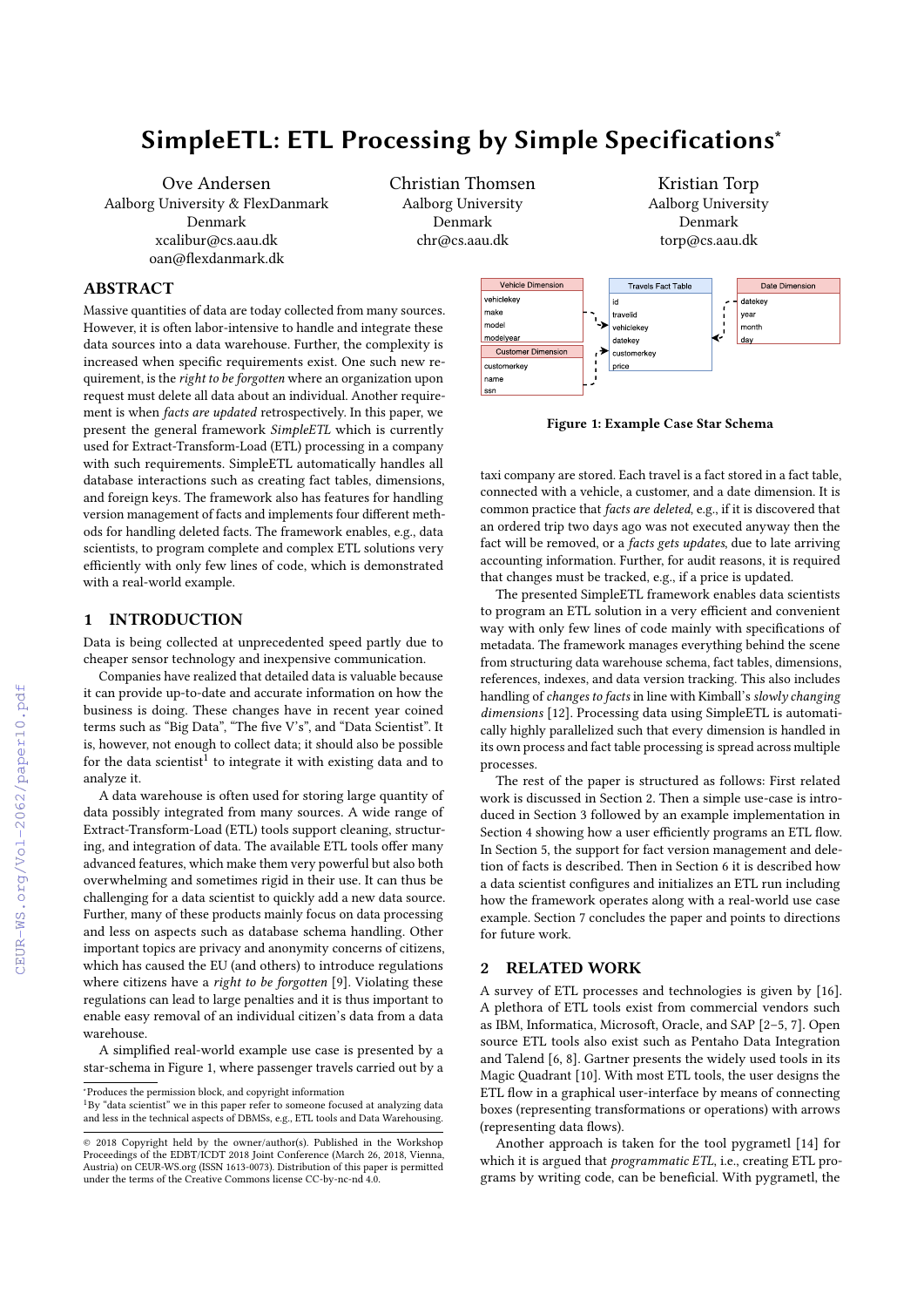# SimpleETL: ETL Processing by Simple Specifications<sup>∗</sup>

Ove Andersen Aalborg University & FlexDanmark Denmark xcalibur@cs.aau.dk oan@flexdanmark.dk

Christian Thomsen Aalborg University Denmark chr@cs.aau.dk

Kristian Torp Aalborg University Denmark torp@cs.aau.dk

# ABSTRACT

Massive quantities of data are today collected from many sources. However, it is often labor-intensive to handle and integrate these data sources into a data warehouse. Further, the complexity is increased when specific requirements exist. One such new requirement, is the right to be forgotten where an organization upon request must delete all data about an individual. Another requirement is when facts are updated retrospectively. In this paper, we present the general framework SimpleETL which is currently used for Extract-Transform-Load (ETL) processing in a company with such requirements. SimpleETL automatically handles all database interactions such as creating fact tables, dimensions, and foreign keys. The framework also has features for handling version management of facts and implements four different methods for handling deleted facts. The framework enables, e.g., data scientists, to program complete and complex ETL solutions very efficiently with only few lines of code, which is demonstrated with a real-world example.

# 1 INTRODUCTION

Data is being collected at unprecedented speed partly due to cheaper sensor technology and inexpensive communication.

Companies have realized that detailed data is valuable because it can provide up-to-date and accurate information on how the business is doing. These changes have in recent year coined terms such as "Big Data", "The five V's", and "Data Scientist". It is, however, not enough to collect data; it should also be possible for the data scientist $^1$  $^1$  to integrate it with existing data and to analyze it.

A data warehouse is often used for storing large quantity of data possibly integrated from many sources. A wide range of Extract-Transform-Load (ETL) tools support cleaning, structuring, and integration of data. The available ETL tools offer many advanced features, which make them very powerful but also both overwhelming and sometimes rigid in their use. It can thus be challenging for a data scientist to quickly add a new data source. Further, many of these products mainly focus on data processing and less on aspects such as database schema handling. Other important topics are privacy and anonymity concerns of citizens, which has caused the EU (and others) to introduce regulations where citizens have a *right to be forgotten* [\[9\]](#page--1-0). Violating these regulations can lead to large penalties and it is thus important to enable easy removal of an individual citizen's data from a data warehouse.

A simplified real-world example use case is presented by a star-schema in [Figure 1,](#page-0-1) where passenger travels carried out by a

<span id="page-0-1"></span>Vehicle Dimension Travels Fact Table Date Dimension vehicleke datekey id make travelic year model month vehiclekey modelyea datekev l da Customer Dimension customerkey customerkey price name ssn

Figure 1: Example Case Star Schema

taxi company are stored. Each travel is a fact stored in a fact table, connected with a vehicle, a customer, and a date dimension. It is common practice that facts are deleted, e.g., if it is discovered that an ordered trip two days ago was not executed anyway then the fact will be removed, or a *facts gets updates*, due to late arriving accounting information. Further, for audit reasons, it is required that changes must be tracked, e.g., if a price is updated.

The presented SimpleETL framework enables data scientists to program an ETL solution in a very efficient and convenient way with only few lines of code mainly with specifications of metadata. The framework manages everything behind the scene from structuring data warehouse schema, fact tables, dimensions, references, indexes, and data version tracking. This also includes handling of changes to facts in line with Kimball's slowly changing dimensions [\[12\]](#page--1-1). Processing data using SimpleETL is automatically highly parallelized such that every dimension is handled in its own process and fact table processing is spread across multiple processes.

The rest of the paper is structured as follows: First related work is discussed in [Section 2.](#page-0-2) Then a simple use-case is introduced in [Section 3](#page--1-2) followed by an example implementation in [Section 4](#page--1-3) showing how a user efficiently programs an ETL flow. In [Section 5,](#page--1-4) the support for fact version management and deletion of facts is described. Then in [Section 6](#page--1-5) it is described how a data scientist configures and initializes an ETL run including how the framework operates along with a real-world use case example. [Section 7](#page--1-6) concludes the paper and points to directions for future work.

## <span id="page-0-2"></span>2 RELATED WORK

A survey of ETL processes and technologies is given by [\[16\]](#page--1-7). A plethora of ETL tools exist from commercial vendors such as IBM, Informatica, Microsoft, Oracle, and SAP [\[2](#page--1-8)[–5,](#page--1-9) [7\]](#page--1-10). Open source ETL tools also exist such as Pentaho Data Integration and Talend [\[6,](#page--1-11) [8\]](#page--1-12). Gartner presents the widely used tools in its Magic Quadrant [\[10\]](#page--1-13). With most ETL tools, the user designs the ETL flow in a graphical user-interface by means of connecting boxes (representing transformations or operations) with arrows (representing data flows).

Another approach is taken for the tool pygrametl [\[14\]](#page--1-14) for which it is argued that *programmatic ETL*, i.e., creating ETL programs by writing code, can be beneficial. With pygrametl, the

<sup>∗</sup>Produces the permission block, and copyright information

<span id="page-0-0"></span><sup>&</sup>lt;sup>1</sup>By "data scientist" we in this paper refer to someone focused at analyzing data and less in the technical aspects of DBMSs, e.g., ETL tools and Data Warehousing.

<sup>©</sup> 2018 Copyright held by the owner/author(s). Published in the Workshop Proceedings of the EDBT/ICDT 2018 Joint Conference (March 26, 2018, Vienna, Austria) on CEUR-WS.org (ISSN 1613-0073). Distribution of this paper is permitted under the terms of the Creative Commons license CC-by-nc-nd 4.0.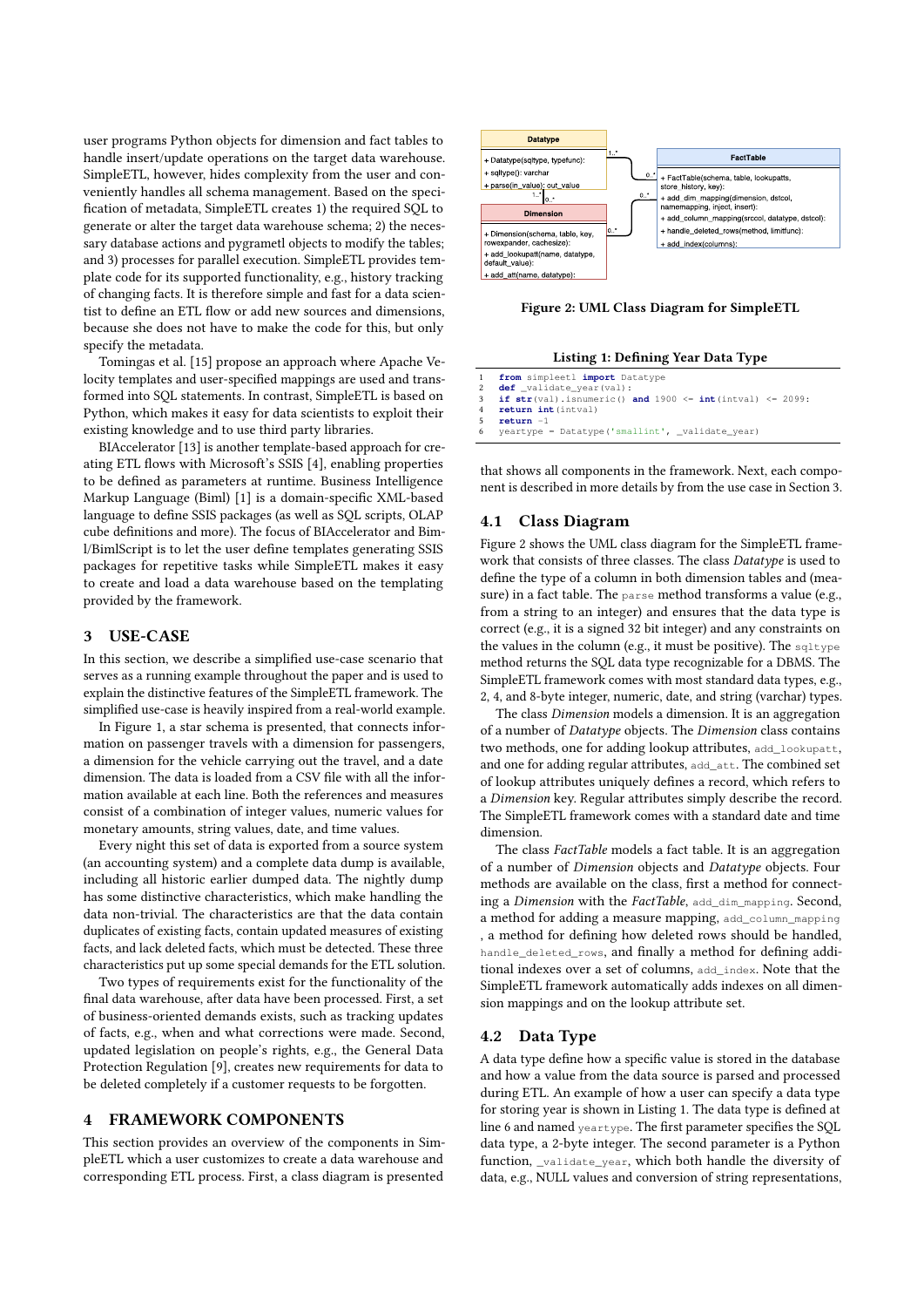user programs Python objects for dimension and fact tables to handle insert/update operations on the target data warehouse. SimpleETL, however, hides complexity from the user and conveniently handles all schema management. Based on the specification of metadata, SimpleETL creates 1) the required SQL to generate or alter the target data warehouse schema; 2) the necessary database actions and pygrametl objects to modify the tables; and 3) processes for parallel execution. SimpleETL provides template code for its supported functionality, e.g., history tracking of changing facts. It is therefore simple and fast for a data scientist to define an ETL flow or add new sources and dimensions, because she does not have to make the code for this, but only specify the metadata.

Tomingas et al. [\[15\]](#page-5-0) propose an approach where Apache Velocity templates and user-specified mappings are used and transformed into SQL statements. In contrast, SimpleETL is based on Python, which makes it easy for data scientists to exploit their existing knowledge and to use third party libraries.

BIAccelerator [\[13\]](#page-5-1) is another template-based approach for creating ETL flows with Microsoft's SSIS [\[4\]](#page-5-2), enabling properties to be defined as parameters at runtime. Business Intelligence Markup Language (Biml) [\[1\]](#page-5-3) is a domain-specific XML-based language to define SSIS packages (as well as SQL scripts, OLAP cube definitions and more). The focus of BIAccelerator and Biml/BimlScript is to let the user define templates generating SSIS packages for repetitive tasks while SimpleETL makes it easy to create and load a data warehouse based on the templating provided by the framework.

## <span id="page-1-0"></span>3 USE-CASE

In this section, we describe a simplified use-case scenario that serves as a running example throughout the paper and is used to explain the distinctive features of the SimpleETL framework. The simplified use-case is heavily inspired from a real-world example.

In [Figure 1,](#page--1-15) a star schema is presented, that connects information on passenger travels with a dimension for passengers, a dimension for the vehicle carrying out the travel, and a date dimension. The data is loaded from a CSV file with all the information available at each line. Both the references and measures consist of a combination of integer values, numeric values for monetary amounts, string values, date, and time values.

Every night this set of data is exported from a source system (an accounting system) and a complete data dump is available, including all historic earlier dumped data. The nightly dump has some distinctive characteristics, which make handling the data non-trivial. The characteristics are that the data contain duplicates of existing facts, contain updated measures of existing facts, and lack deleted facts, which must be detected. These three characteristics put up some special demands for the ETL solution.

Two types of requirements exist for the functionality of the final data warehouse, after data have been processed. First, a set of business-oriented demands exists, such as tracking updates of facts, e.g., when and what corrections were made. Second, updated legislation on people's rights, e.g., the General Data Protection Regulation [\[9\]](#page-5-4), creates new requirements for data to be deleted completely if a customer requests to be forgotten.

### <span id="page-1-3"></span>4 FRAMEWORK COMPONENTS

This section provides an overview of the components in SimpleETL which a user customizes to create a data warehouse and corresponding ETL process. First, a class diagram is presented

<span id="page-1-1"></span>

Figure 2: UML Class Diagram for SimpleETL

| Listing 1: Defining Year Data Type |  |  |  |  |  |  |
|------------------------------------|--|--|--|--|--|--|
|------------------------------------|--|--|--|--|--|--|

<span id="page-1-2"></span>

| from simpleetl import Datatype |
|--------------------------------|
|--------------------------------|

2 **def** \_validate\_year(val):<br>3 **if str**(val) isoumeric() **if**  $str$ (val).isnumeric() **and** 1900  $\leq$  **int**(intval)  $\leq$  2099:

```
4 return int(intval)
```
5 **return** -1 yeartype = Datatype('smallint', \_validate\_year)

that shows all components in the framework. Next, each component is described in more details by from the use case in [Section 3.](#page-1-0)

#### 4.1 Class Diagram

[Figure 2](#page-1-1) shows the UML class diagram for the SimpleETL framework that consists of three classes. The class Datatype is used to define the type of a column in both dimension tables and (measure) in a fact table. The parse method transforms a value (e.g., from a string to an integer) and ensures that the data type is correct (e.g., it is a signed 32 bit integer) and any constraints on the values in the column (e.g., it must be positive). The  $\sqrt{3}$ method returns the SQL data type recognizable for a DBMS. The SimpleETL framework comes with most standard data types, e.g., 2, 4, and 8-byte integer, numeric, date, and string (varchar) types.

The class Dimension models a dimension. It is an aggregation of a number of Datatype objects. The Dimension class contains two methods, one for adding lookup attributes, add\_lookupatt, and one for adding regular attributes, add\_att. The combined set of lookup attributes uniquely defines a record, which refers to a Dimension key. Regular attributes simply describe the record. The SimpleETL framework comes with a standard date and time dimension.

The class FactTable models a fact table. It is an aggregation of a number of Dimension objects and Datatype objects. Four methods are available on the class, first a method for connecting a Dimension with the FactTable, add\_dim\_mapping. Second, a method for adding a measure mapping, add\_column\_mapping , a method for defining how deleted rows should be handled, handle\_deleted\_rows, and finally a method for defining additional indexes over a set of columns, add\_index. Note that the SimpleETL framework automatically adds indexes on all dimension mappings and on the lookup attribute set.

## 4.2 Data Type

A data type define how a specific value is stored in the database and how a value from the data source is parsed and processed during ETL. An example of how a user can specify a data type for storing year is shown in [Listing 1.](#page-1-2) The data type is defined at line 6 and named yeartype. The first parameter specifies the SQL data type, a 2-byte integer. The second parameter is a Python function, \_validate\_year, which both handle the diversity of data, e.g., NULL values and conversion of string representations,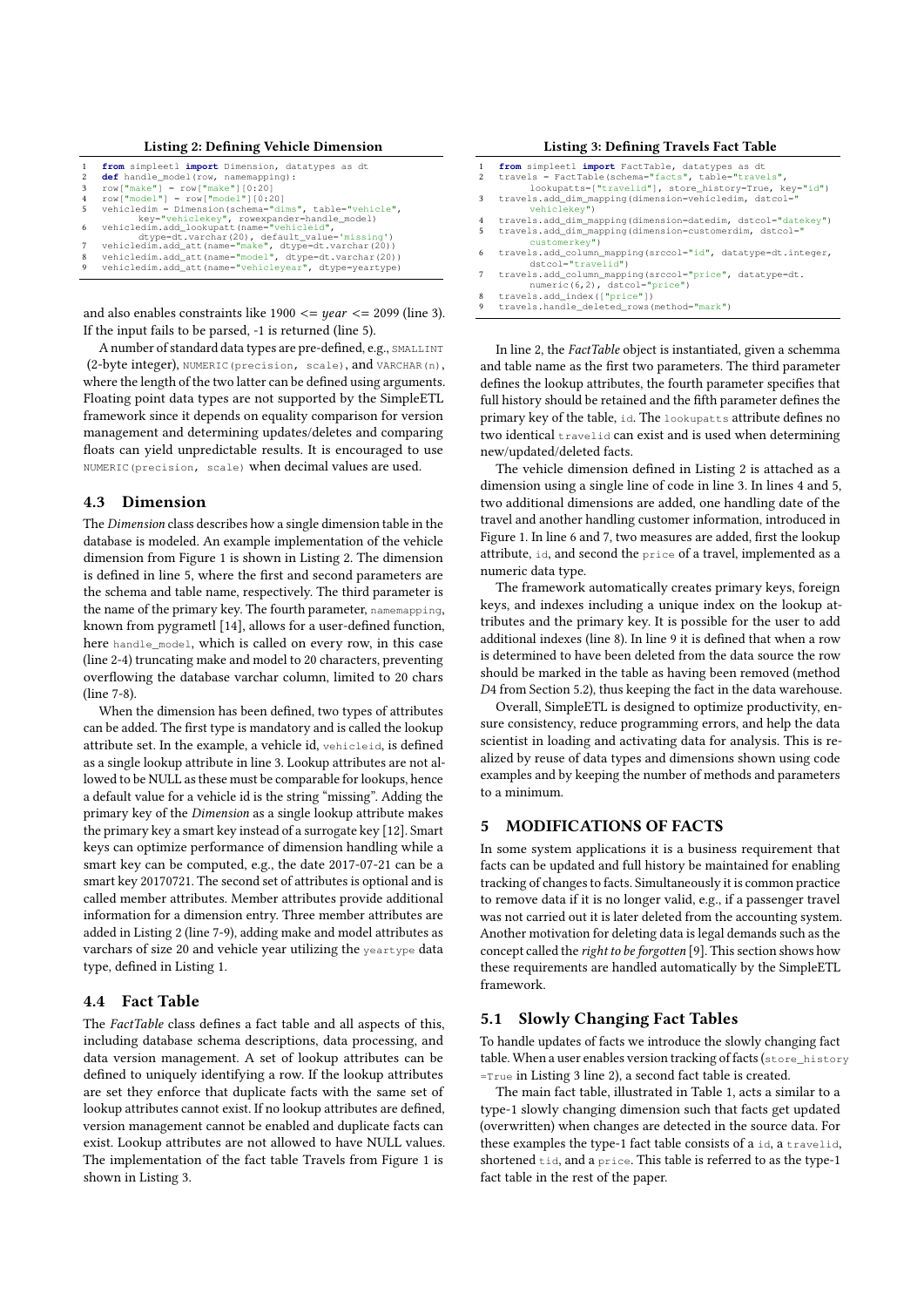#### Listing 2: Defining Vehicle Dimension

<span id="page-2-0"></span>

|  |  | from simpleetl import Dimension, datatypes as dt |  |  |
|--|--|--------------------------------------------------|--|--|
|  |  | def handle_model(row, namemapping):              |  |  |

- 2 **def** handle\_model(row, namemapping): 3 row["make"] = row["make"][0:20] 4 row["model"] = row["model"][0:20]
- 

- 
- 
- % vehicledim = Dimension(schema="dims", table="vehicle",<br>key="vehiclekey", rowexpander-handle\_model)<br>6 vehiclekey", rowexpander-handle\_model)<br>divpe=dt.varchar(20), default\_value='missing')<br>7 vehicledim.add\_att(name="make",

and also enables constraints like  $1900 \leq year \leq 2099$  (line 3). If the input fails to be parsed, -1 is returned (line 5).

A number of standard data types are pre-defined, e.g., SMALLINT (2-byte integer), NUMERIC(precision, scale), and VARCHAR(n), where the length of the two latter can be defined using arguments. Floating point data types are not supported by the SimpleETL framework since it depends on equality comparison for version management and determining updates/deletes and comparing floats can yield unpredictable results. It is encouraged to use NUMERIC(precision, scale) when decimal values are used.

# <span id="page-2-3"></span>4.3 Dimension

The Dimension class describes how a single dimension table in the database is modeled. An example implementation of the vehicle dimension from [Figure 1](#page--1-15) is shown in [Listing 2.](#page-2-0) The dimension is defined in line 5, where the first and second parameters are the schema and table name, respectively. The third parameter is the name of the primary key. The fourth parameter, namemapping, known from pygrametl [\[14\]](#page-5-5), allows for a user-defined function, here handle\_model, which is called on every row, in this case (line 2-4) truncating make and model to 20 characters, preventing overflowing the database varchar column, limited to 20 chars (line 7-8).

When the dimension has been defined, two types of attributes can be added. The first type is mandatory and is called the lookup attribute set. In the example, a vehicle id, vehicleid, is defined as a single lookup attribute in line 3. Lookup attributes are not allowed to be NULL as these must be comparable for lookups, hence a default value for a vehicle id is the string "missing". Adding the primary key of the Dimension as a single lookup attribute makes the primary key a smart key instead of a surrogate key [\[12\]](#page-5-6). Smart keys can optimize performance of dimension handling while a smart key can be computed, e.g., the date 2017-07-21 can be a smart key 20170721. The second set of attributes is optional and is called member attributes. Member attributes provide additional information for a dimension entry. Three member attributes are added in [Listing 2](#page-2-0) (line 7-9), adding make and model attributes as varchars of size 20 and vehicle year utilizing the yeartype data type, defined in [Listing 1.](#page-1-2)

## <span id="page-2-4"></span>4.4 Fact Table

The *FactTable* class defines a fact table and all aspects of this, including database schema descriptions, data processing, and data version management. A set of lookup attributes can be defined to uniquely identifying a row. If the lookup attributes are set they enforce that duplicate facts with the same set of lookup attributes cannot exist. If no lookup attributes are defined, version management cannot be enabled and duplicate facts can exist. Lookup attributes are not allowed to have NULL values. The implementation of the fact table Travels from [Figure 1](#page--1-15) is shown in [Listing 3.](#page-2-1)

#### Listing 3: Defining Travels Fact Table

<span id="page-2-1"></span>

| 1<br>2              | from simpleetl import FactTable, datatypes as dt<br>travels = FactTable(schema="facts", table="travels",                                   |
|---------------------|--------------------------------------------------------------------------------------------------------------------------------------------|
| 3                   | lookupatts=["travelid"], store history=True, key="id")<br>travels.add_dim_mapping(dimension=vehicledim, dstcol="<br>vehiclekev")           |
| $\overline{4}$<br>5 | travels.add dim mapping (dimension=datedim, dstcol="datekey")<br>travels.add dim mapping (dimension=customerdim, dstcol="<br>customerkey") |
| 6                   | travels.add_column_mapping(srccol="id", datatype=dt.integer,<br>dstcol="travelid")                                                         |
| $7^{\circ}$         | travels.add_column_mapping(srccol="price", datatype=dt.<br>numeric(6,2), dstcol="price")                                                   |
| 8<br>9              | travels.add index(["price"])<br>travels.handle deleted rows (method="mark")                                                                |

In line 2, the FactTable object is instantiated, given a schemma and table name as the first two parameters. The third parameter defines the lookup attributes, the fourth parameter specifies that full history should be retained and the fifth parameter defines the primary key of the table, id. The lookupatts attribute defines no two identical travelid can exist and is used when determining new/updated/deleted facts.

The vehicle dimension defined in [Listing 2](#page-2-0) is attached as a dimension using a single line of code in line 3. In lines 4 and 5, two additional dimensions are added, one handling date of the travel and another handling customer information, introduced in [Figure 1.](#page--1-15) In line 6 and 7, two measures are added, first the lookup attribute, id, and second the price of a travel, implemented as a numeric data type.

The framework automatically creates primary keys, foreign keys, and indexes including a unique index on the lookup attributes and the primary key. It is possible for the user to add additional indexes (line 8). In line 9 it is defined that when a row is determined to have been deleted from the data source the row should be marked in the table as having been removed (method D4 from [Section 5.2\)](#page-3-0), thus keeping the fact in the data warehouse.

Overall, SimpleETL is designed to optimize productivity, ensure consistency, reduce programming errors, and help the data scientist in loading and activating data for analysis. This is realized by reuse of data types and dimensions shown using code examples and by keeping the number of methods and parameters to a minimum.

## <span id="page-2-2"></span>5 MODIFICATIONS OF FACTS

In some system applications it is a business requirement that facts can be updated and full history be maintained for enabling tracking of changes to facts. Simultaneously it is common practice to remove data if it is no longer valid, e.g., if a passenger travel was not carried out it is later deleted from the accounting system. Another motivation for deleting data is legal demands such as the concept called the right to be forgotten [\[9\]](#page-5-4). This section shows how these requirements are handled automatically by the SimpleETL framework.

#### 5.1 Slowly Changing Fact Tables

To handle updates of facts we introduce the slowly changing fact table. When a user enables version tracking of facts (store\_history =True in [Listing 3](#page-2-1) line 2), a second fact table is created.

The main fact table, illustrated in [Table 1,](#page-3-1) acts a similar to a type-1 slowly changing dimension such that facts get updated (overwritten) when changes are detected in the source data. For these examples the type-1 fact table consists of a id, a travelid, shortened tid, and a price. This table is referred to as the type-1 fact table in the rest of the paper.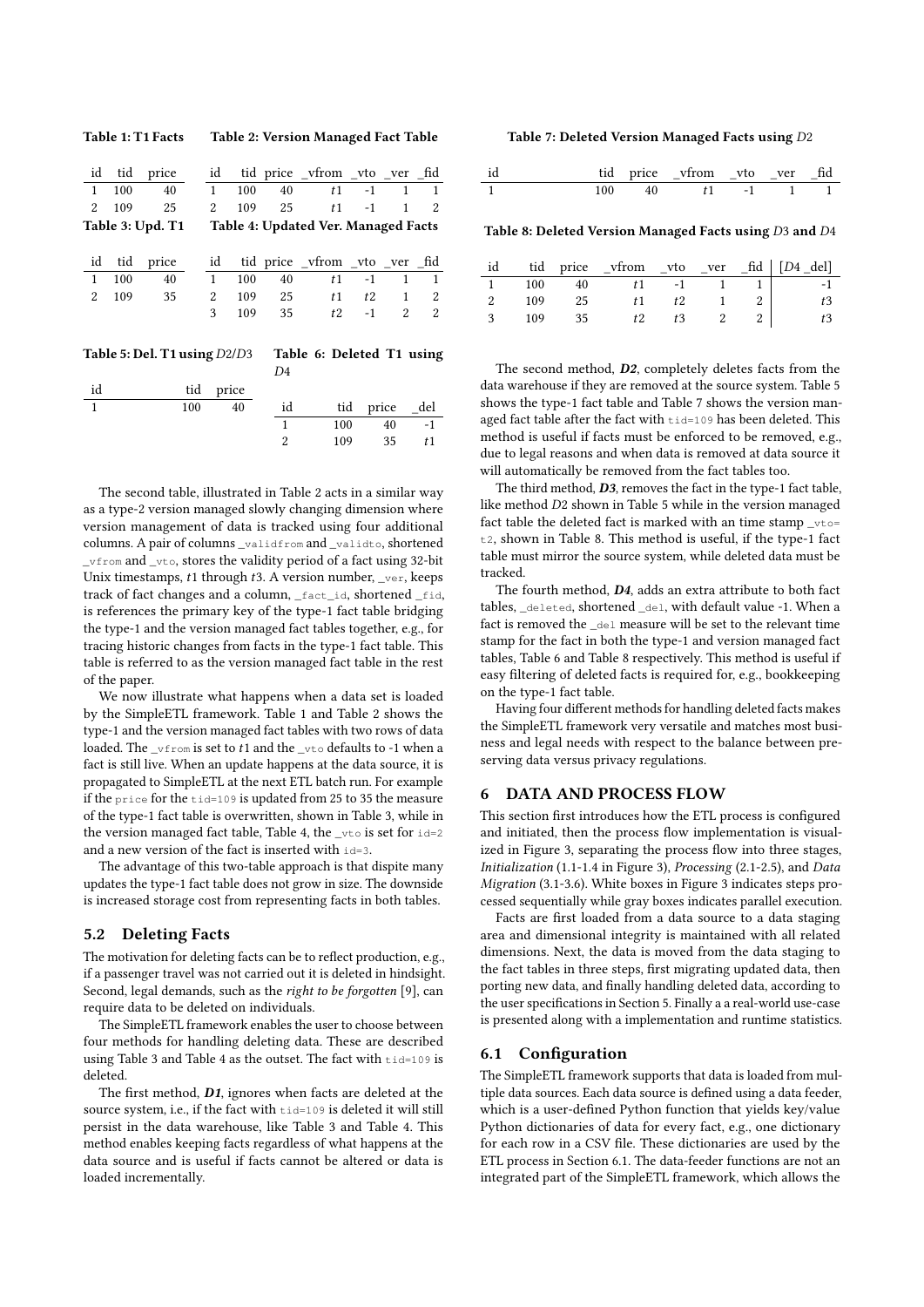| id             | tid | price                          | id                                              |       |                | tid price _vfrom _vto _ver _fid     |         |              |              |
|----------------|-----|--------------------------------|-------------------------------------------------|-------|----------------|-------------------------------------|---------|--------------|--------------|
| $\mathbf{1}$   | 100 | 40                             | $\left  \begin{array}{c} 1 \end{array} \right $ | 100   |                | 40 — 10                             | $t1 -1$ | $\mathbf{1}$ | $\mathbf{1}$ |
| $\overline{2}$ | 109 | 25                             | 2                                               | 109   | 25             |                                     | $t1 -1$ | $\mathbf{1}$ | 2            |
|                |     | Table 3: Upd. T1               |                                                 |       |                | Table 4: Updated Ver. Managed Facts |         |              |              |
|                |     |                                |                                                 |       |                |                                     |         |              |              |
| id             | tid | price                          | id                                              |       |                | tid price vfrom vto ver fid         |         |              |              |
| $\mathbf{1}$   | 100 | 40                             | $\mathbf{1}$                                    | 100   | 40             | t1                                  | $-1$    | 1            | $\mathbf{1}$ |
| $\overline{c}$ | 109 | 35                             | 2                                               | 109   | 25             | t1                                  | t2      | $\mathbf{1}$ | 2            |
|                |     |                                | 3                                               | 109   | 35             |                                     | $t2 -1$ | 2            | 2            |
|                |     |                                |                                                 |       |                |                                     |         |              |              |
|                |     | Table 5: Del. T1 using $D2/D3$ |                                                 |       |                | Table 6: Deleted T1 using           |         |              |              |
|                |     |                                |                                                 |       | D <sub>4</sub> |                                     |         |              |              |
| id             |     | tid                            |                                                 | price |                |                                     |         |              |              |
| $\mathbf{1}$   |     | 100                            |                                                 | 40    | id             |                                     | tid     | price        | del          |
|                |     |                                |                                                 |       | $\mathbf{1}$   | 100                                 |         | 40           | $-1$         |
|                |     |                                |                                                 |       | 2              | 109                                 |         | 35           | t1           |

Table 2: Version Managed Fact Table

<span id="page-3-1"></span>Table 1: T1 Facts

<span id="page-3-2"></span>The second table, illustrated in [Table 2](#page-3-1) acts in a similar way as a type-2 version managed slowly changing dimension where version management of data is tracked using four additional columns. A pair of columns \_validfrom and \_validto, shortened \_vfrom and \_vto, stores the validity period of a fact using 32-bit Unix timestamps,  $t1$  through  $t3$ . A version number,  $\lrcorner$ ver, keeps track of fact changes and a column, \_fact\_id, shortened \_fid, is references the primary key of the type-1 fact table bridging the type-1 and the version managed fact tables together, e.g., for tracing historic changes from facts in the type-1 fact table. This table is referred to as the version managed fact table in the rest of the paper.

We now illustrate what happens when a data set is loaded by the SimpleETL framework. [Table 1](#page-3-1) and [Table 2](#page-3-1) shows the type-1 and the version managed fact tables with two rows of data loaded. The \_vfrom is set to t1 and the \_vto defaults to -1 when a fact is still live. When an update happens at the data source, it is propagated to SimpleETL at the next ETL batch run. For example if the price for the tid=109 is updated from 25 to 35 the measure of the type-1 fact table is overwritten, shown in [Table 3,](#page-3-1) while in the version managed fact table. [Table 4,](#page-3-1) the  $v$ to is set for id=2 and a new version of the fact is inserted with  $id=3$ .

The advantage of this two-table approach is that dispite many updates the type-1 fact table does not grow in size. The downside is increased storage cost from representing facts in both tables.

#### <span id="page-3-0"></span>5.2 Deleting Facts

The motivation for deleting facts can be to reflect production, e.g., if a passenger travel was not carried out it is deleted in hindsight. Second, legal demands, such as the right to be forgotten [\[9\]](#page-5-4), can require data to be deleted on individuals.

The SimpleETL framework enables the user to choose between four methods for handling deleting data. These are described using [Table 3](#page-3-1) and [Table 4](#page-3-1) as the outset. The fact with tid=109 is deleted.

The first method, D1, ignores when facts are deleted at the source system, i.e., if the fact with tid=109 is deleted it will still persist in the data warehouse, like [Table 3](#page-3-1) and [Table 4.](#page-3-1) This method enables keeping facts regardless of what happens at the data source and is useful if facts cannot be altered or data is loaded incrementally.

#### <span id="page-3-3"></span>Table 7: Deleted Version Managed Facts using D2

| id | tid | price | _vfrom | vto  | ver | fid |
|----|-----|-------|--------|------|-----|-----|
|    |     |       |        | $-1$ |     |     |

<span id="page-3-4"></span>Table 8: Deleted Version Managed Facts using D3 and D4

| id |     |      |    |    |  | tid price _vfrom _vto _ver _fid   [D4 _del] |
|----|-----|------|----|----|--|---------------------------------------------|
|    |     |      |    |    |  | $1 \t100 \t40 \t t1 \t-1 \t1 \t1$ -1        |
|    | 109 | - 25 | t1 | t2 |  |                                             |
|    | 109 | 35   | t2 | t3 |  |                                             |

The second method, D2, completely deletes facts from the data warehouse if they are removed at the source system. [Table 5](#page-3-2) shows the type-1 fact table and [Table 7](#page-3-3) shows the version managed fact table after the fact with tid=109 has been deleted. This method is useful if facts must be enforced to be removed, e.g., due to legal reasons and when data is removed at data source it will automatically be removed from the fact tables too.

The third method, D3, removes the fact in the type-1 fact table, like method D2 shown in [Table 5](#page-3-2) while in the version managed fact table the deleted fact is marked with an time stamp \_vto= t2, shown in [Table 8.](#page-3-4) This method is useful, if the type-1 fact table must mirror the source system, while deleted data must be tracked.

The fourth method, D4, adds an extra attribute to both fact tables,  $\beta$  deleted, shortened  $\beta$  del, with default value -1. When a fact is removed the del measure will be set to the relevant time stamp for the fact in both the type-1 and version managed fact tables, [Table 6](#page-3-2) and [Table 8](#page-3-4) respectively. This method is useful if easy filtering of deleted facts is required for, e.g., bookkeeping on the type-1 fact table.

Having four different methods for handling deleted facts makes the SimpleETL framework very versatile and matches most business and legal needs with respect to the balance between preserving data versus privacy regulations.

## 6 DATA AND PROCESS FLOW

This section first introduces how the ETL process is configured and initiated, then the process flow implementation is visualized in [Figure 3,](#page-4-0) separating the process flow into three stages, Initialization (1.1-1.4 in [Figure 3\)](#page-4-0), Processing (2.1-2.5), and Data Migration (3.1-3.6). White boxes in [Figure 3](#page-4-0) indicates steps processed sequentially while gray boxes indicates parallel execution.

Facts are first loaded from a data source to a data staging area and dimensional integrity is maintained with all related dimensions. Next, the data is moved from the data staging to the fact tables in three steps, first migrating updated data, then porting new data, and finally handling deleted data, according to the user specifications in [Section 5.](#page-2-2) Finally a a real-world use-case is presented along with a implementation and runtime statistics.

## <span id="page-3-5"></span>6.1 Configuration

The SimpleETL framework supports that data is loaded from multiple data sources. Each data source is defined using a data feeder, which is a user-defined Python function that yields key/value Python dictionaries of data for every fact, e.g., one dictionary for each row in a CSV file. These dictionaries are used by the ETL process in [Section 6.1.](#page-3-5) The data-feeder functions are not an integrated part of the SimpleETL framework, which allows the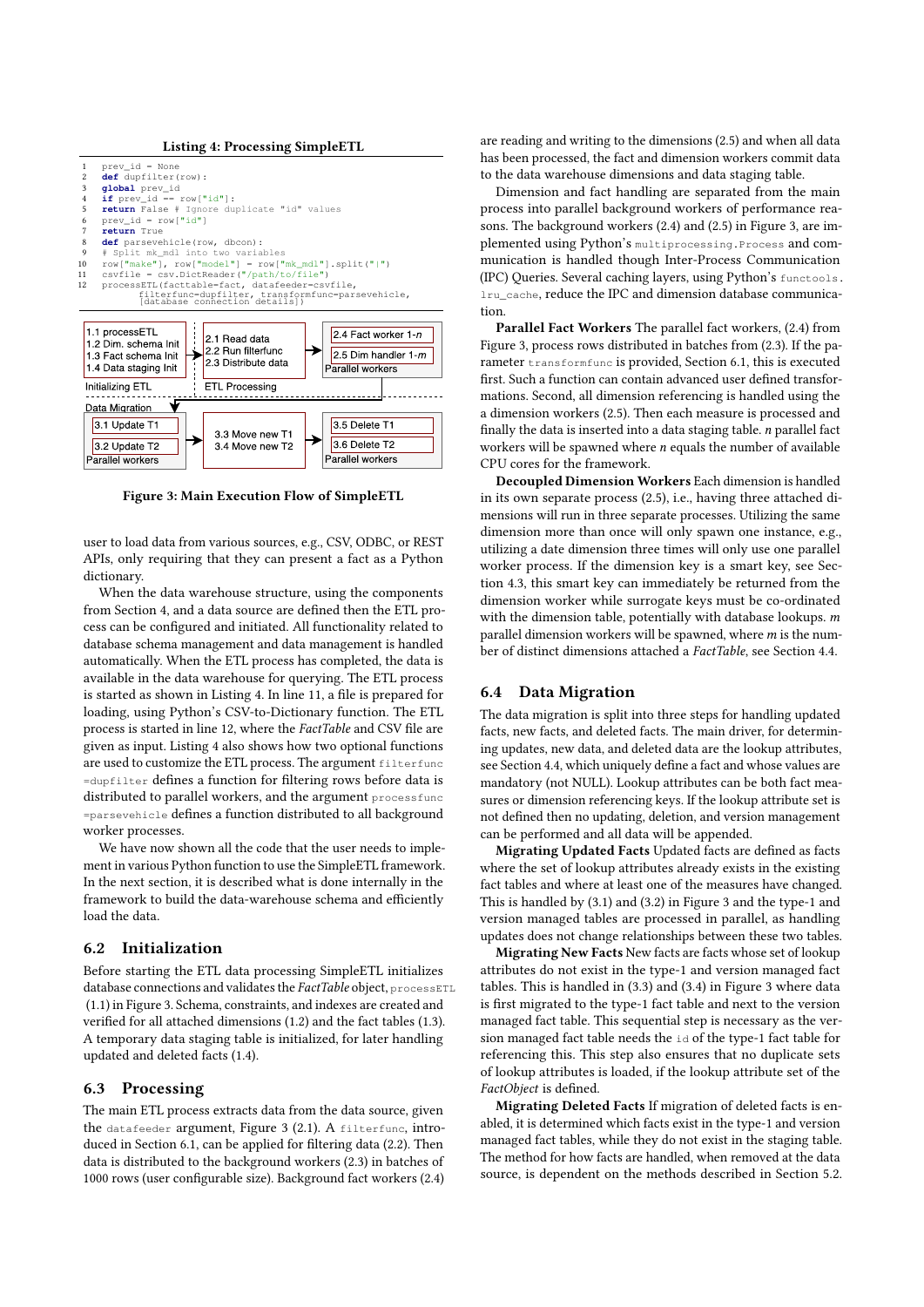Listing 4: Processing SimpleETL

<span id="page-4-1"></span><span id="page-4-0"></span>

Figure 3: Main Execution Flow of SimpleETL

user to load data from various sources, e.g., CSV, ODBC, or REST APIs, only requiring that they can present a fact as a Python dictionary.

When the data warehouse structure, using the components from [Section 4,](#page-1-3) and a data source are defined then the ETL process can be configured and initiated. All functionality related to database schema management and data management is handled automatically. When the ETL process has completed, the data is available in the data warehouse for querying. The ETL process is started as shown in [Listing 4.](#page-4-1) In line 11, a file is prepared for loading, using Python's CSV-to-Dictionary function. The ETL process is started in line 12, where the FactTable and CSV file are given as input. [Listing 4](#page-4-1) also shows how two optional functions are used to customize the ETL process. The argument filterfunc =dupfilter defines a function for filtering rows before data is distributed to parallel workers, and the argument processfunc =parsevehicle defines a function distributed to all background worker processes.

We have now shown all the code that the user needs to implement in various Python function to use the SimpleETL framework. In the next section, it is described what is done internally in the framework to build the data-warehouse schema and efficiently load the data.

#### 6.2 Initialization

Before starting the ETL data processing SimpleETL initializes database connections and validates the FactTable object, processETL (1.1) in [Figure 3.](#page-4-0) Schema, constraints, and indexes are created and verified for all attached dimensions (1.2) and the fact tables (1.3). A temporary data staging table is initialized, for later handling updated and deleted facts (1.4).

## 6.3 Processing

The main ETL process extracts data from the data source, given the datafeeder argument, [Figure 3](#page-4-0) (2.1). A filterfunc, introduced in [Section 6.1,](#page-3-5) can be applied for filtering data (2.2). Then data is distributed to the background workers (2.3) in batches of 1000 rows (user configurable size). Background fact workers (2.4) are reading and writing to the dimensions (2.5) and when all data has been processed, the fact and dimension workers commit data to the data warehouse dimensions and data staging table.

Dimension and fact handling are separated from the main process into parallel background workers of performance reasons. The background workers (2.4) and (2.5) in [Figure 3,](#page-4-0) are implemented using Python's multiprocessing.Process and communication is handled though Inter-Process Communication (IPC) Queries. Several caching layers, using Python's functools. lru\_cache, reduce the IPC and dimension database communication.

Parallel Fact Workers The parallel fact workers, (2.4) from [Figure 3,](#page-4-0) process rows distributed in batches from (2.3). If the parameter transformfunc is provided, [Section 6.1,](#page-3-5) this is executed first. Such a function can contain advanced user defined transformations. Second, all dimension referencing is handled using the a dimension workers (2.5). Then each measure is processed and finally the data is inserted into a data staging table.  $n$  parallel fact workers will be spawned where  $n$  equals the number of available CPU cores for the framework.

Decoupled Dimension Workers Each dimension is handled in its own separate process (2.5), i.e., having three attached dimensions will run in three separate processes. Utilizing the same dimension more than once will only spawn one instance, e.g., utilizing a date dimension three times will only use one parallel worker process. If the dimension key is a smart key, see [Sec](#page-2-3)[tion 4.3,](#page-2-3) this smart key can immediately be returned from the dimension worker while surrogate keys must be co-ordinated with the dimension table, potentially with database lookups. m parallel dimension workers will be spawned, where  $m$  is the number of distinct dimensions attached a FactTable, see [Section 4.4.](#page-2-4)

#### 6.4 Data Migration

The data migration is split into three steps for handling updated facts, new facts, and deleted facts. The main driver, for determining updates, new data, and deleted data are the lookup attributes, see [Section 4.4,](#page-2-4) which uniquely define a fact and whose values are mandatory (not NULL). Lookup attributes can be both fact measures or dimension referencing keys. If the lookup attribute set is not defined then no updating, deletion, and version management can be performed and all data will be appended.

Migrating Updated Facts Updated facts are defined as facts where the set of lookup attributes already exists in the existing fact tables and where at least one of the measures have changed. This is handled by (3.1) and (3.2) in [Figure 3](#page-4-0) and the type-1 and version managed tables are processed in parallel, as handling updates does not change relationships between these two tables.

Migrating New Facts New facts are facts whose set of lookup attributes do not exist in the type-1 and version managed fact tables. This is handled in (3.3) and (3.4) in [Figure 3](#page-4-0) where data is first migrated to the type-1 fact table and next to the version managed fact table. This sequential step is necessary as the version managed fact table needs the id of the type-1 fact table for referencing this. This step also ensures that no duplicate sets of lookup attributes is loaded, if the lookup attribute set of the FactObject is defined.

Migrating Deleted Facts If migration of deleted facts is enabled, it is determined which facts exist in the type-1 and version managed fact tables, while they do not exist in the staging table. The method for how facts are handled, when removed at the data source, is dependent on the methods described in [Section 5.2.](#page-3-0)